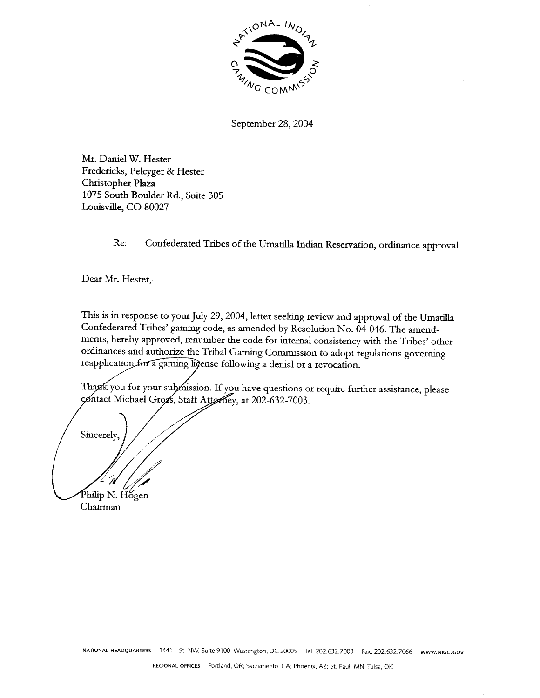

September 28, 2004

Mr. Daniel W. Hester Fredericks, Pelcyger & Hester Christopher Plaza 1075 South Boulder Rd., Suite 305 Louisville, CO 80027

Re: Confederated Tribes of the Umatilla Indian Reservation, ordinance approval

Dear Mr. Hester,

This is in response to your July 29, 2004, letter seeking review and approval of the Umatilla Confederated Tribes' gaming code, as amended by Resolution No. 04-046. The amendments, hereby approved, renumber the code for internal consistency with the Tribes' other ordinances and authorize the Tribal Gaming Commission to adopt regulations governing reapplication for a gaming lidense following a denial or a revocation.

Thank you for your submission. If you have questions or require further assistance, please contact Michael Gross, Staff Attorney, at 202-632-7003.

Sincerely. Philip N. Hogen Chairman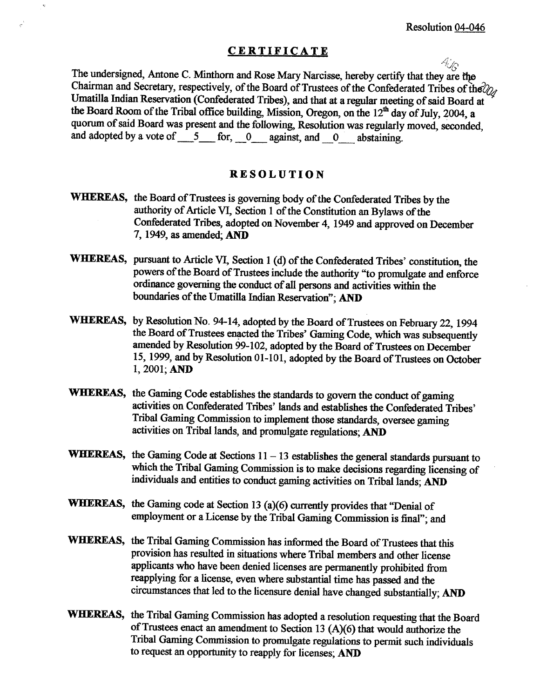## **CERTIFICATE**  $\mathcal{A}_{\mathcal{S}}$

 $\mathbf{v}$ 

The undersigned, Antone C. Minthorn and Rose Mary Narcisse, hereby certify that they are the Chairman and Secretary, respectively, of the Board of Trustees of the Confederated Tribes of the $\partial_{\mathcal{U}}$ Umatilla Indian Reservation (Confederated Tribes), and that at a regular meeting of said Board at the Board Room of the Tribal office building, Mission, Oregon, on the  $12<sup>th</sup>$  day of July, 2004, a quorum of said Board was present and the following, Resolution was regularly moved, seconded, and adopted by a vote of 5 for, 0 against, and 0 abstaining.

## **RESOLUTION**

- **WHEREAS,** the Board of Trustees is governing body of the Confederated Tribes by the authority of Article **VI,** Section 1 of the Constitution an Bylaws of the Confederated Tribes, adopted on November 4, 1949 and approved on December 7,1949, as amended; AND
- **WHIEREAS,** pursuant **to** Article **VI,** Section 1 (d) of the Confederated Tribes' constitution, the powers of the Board of Trustees include the authority "to promulgate and enforce ordinance governing the conduct of all persons and activities within the boundaries of the Umatilla Indian Reservation": **AND**
- **WHEREAS, by** Resolution No. 94-14, adopted by the Board of **Trustees** on February 22,1994 the Board of Trustees enacted the Tribes' Gaming Code, which was subsequently amended by Resolution 99-102, adopted by the Board of Trustees on December 15, 1999, and by Resolution 01-101, adopted by the Board of Trustees on October 1, 2001; AND
- **WHEREAS,** the **Gaming** Code establishes the standards to govern the conduct of gaming activities on Confederated Tribes' lands and establishes the Confederated Tribes' Tribal **Gaming** Commission to implement those standards, oversee gaming activities on Tribal lands, and promulgate regulations; AND
- WHEREAS, the Gaming Code at Sections  $11 13$  establishes the general standards pursuant to which the Tribal Gaming Commission is to make decisions regarding licensing of individuals and entities to **conduct gaming** activities on Tribal lands; AND
- **WHEREAS,** the **Gaming** code at Section 13 **(a)(6)** currently provides that "Denial of employment or a License by the Tribal **Gaming** Commission is final"; and
- **WHEREAS,** the Tribal Gaming Commission has informed the Board of Trustees that this provision has resulted in situations where Tribal members and other license applicants who have been denied licenses are permanently prohibited from reapplying for a license, even where substantial time has passed and the circumstances that led to the licensure denial have changed substantially; AND
- **WHEREAS,** the Tribal Gaming Commission has adopted a resolution requesting that the Board of Trustees enact an amendment to Section 13 **(A)(6)** that would authorize the Tribal Gaming Commission to promulgate regulations to permit such individuals to request an opportunity to reapply for licenses; AND